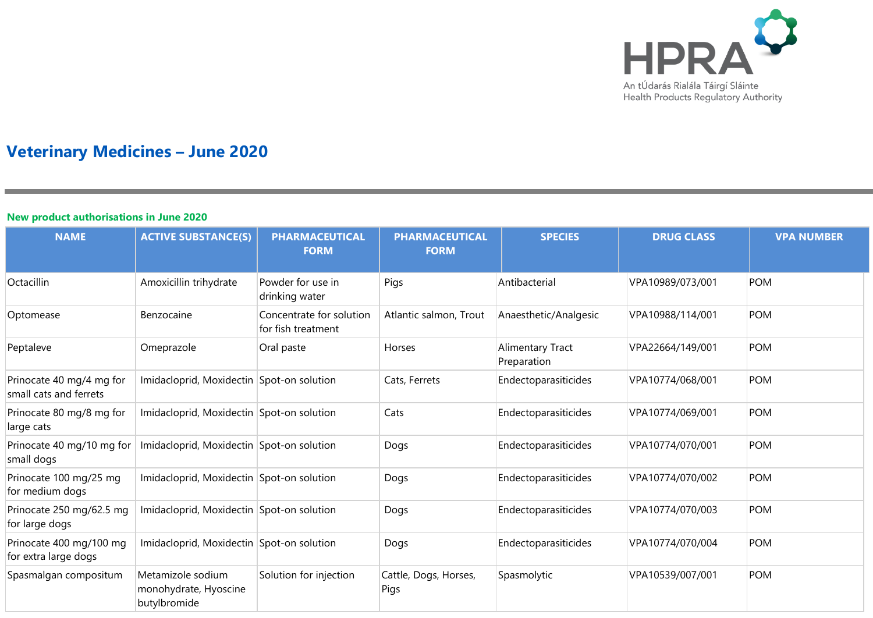

# **Veterinary Medicines – June 2020**

#### **New product authorisations in June 2020**

| <b>NAME</b>                                        | <b>ACTIVE SUBSTANCE(S)</b>                                 | <b>PHARMACEUTICAL</b><br><b>FORM</b>           | <b>PHARMACEUTICAL</b><br><b>FORM</b> | <b>SPECIES</b>                  | <b>DRUG CLASS</b> | <b>VPA NUMBER</b> |
|----------------------------------------------------|------------------------------------------------------------|------------------------------------------------|--------------------------------------|---------------------------------|-------------------|-------------------|
| Octacillin                                         | Amoxicillin trihydrate                                     | Powder for use in<br>drinking water            | Pigs                                 | Antibacterial                   | VPA10989/073/001  | <b>POM</b>        |
| Optomease                                          | Benzocaine                                                 | Concentrate for solution<br>for fish treatment | Atlantic salmon, Trout               | Anaesthetic/Analgesic           | VPA10988/114/001  | <b>POM</b>        |
| Peptaleve                                          | Omeprazole                                                 | Oral paste                                     | Horses                               | Alimentary Tract<br>Preparation | VPA22664/149/001  | <b>POM</b>        |
| Prinocate 40 mg/4 mg for<br>small cats and ferrets | Imidacloprid, Moxidectin Spot-on solution                  |                                                | Cats, Ferrets                        | Endectoparasiticides            | VPA10774/068/001  | <b>POM</b>        |
| Prinocate 80 mg/8 mg for<br>large cats             | Imidacloprid, Moxidectin Spot-on solution                  |                                                | Cats                                 | Endectoparasiticides            | VPA10774/069/001  | <b>POM</b>        |
| Prinocate 40 mg/10 mg for<br>small dogs            | Imidacloprid, Moxidectin Spot-on solution                  |                                                | Dogs                                 | Endectoparasiticides            | VPA10774/070/001  | <b>POM</b>        |
| Prinocate 100 mg/25 mg<br>for medium dogs          | Imidacloprid, Moxidectin Spot-on solution                  |                                                | Dogs                                 | Endectoparasiticides            | VPA10774/070/002  | <b>POM</b>        |
| Prinocate 250 mg/62.5 mg<br>for large dogs         | Imidacloprid, Moxidectin Spot-on solution                  |                                                | Dogs                                 | Endectoparasiticides            | VPA10774/070/003  | <b>POM</b>        |
| Prinocate 400 mg/100 mg<br>for extra large dogs    | Imidacloprid, Moxidectin Spot-on solution                  |                                                | Dogs                                 | Endectoparasiticides            | VPA10774/070/004  | <b>POM</b>        |
| Spasmalgan compositum                              | Metamizole sodium<br>monohydrate, Hyoscine<br>butylbromide | Solution for injection                         | Cattle, Dogs, Horses,<br>Pigs        | Spasmolytic                     | VPA10539/007/001  | <b>POM</b>        |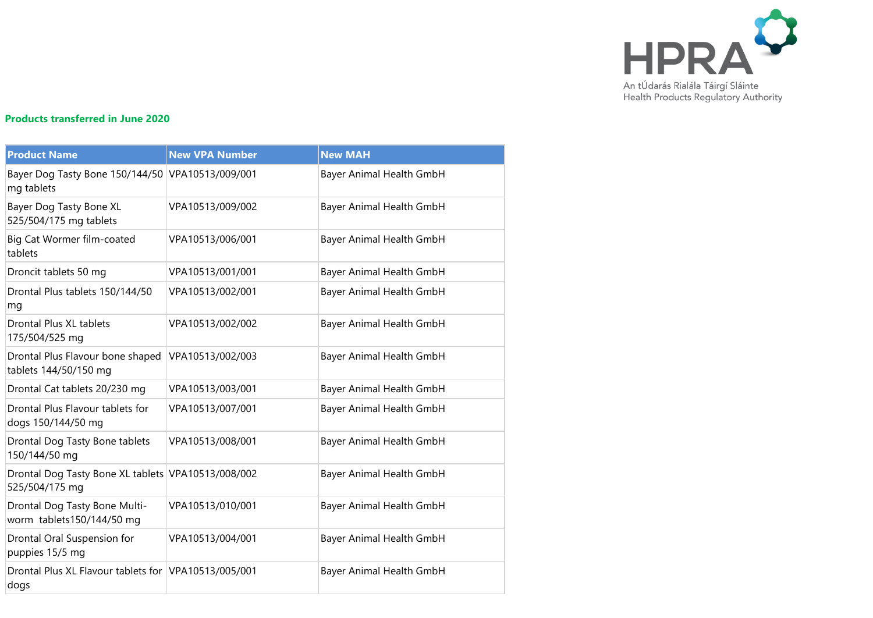

## **Products transferred in June 2020**

| <b>Product Name</b>                                                  | <b>New VPA Number</b> | <b>New MAH</b>           |
|----------------------------------------------------------------------|-----------------------|--------------------------|
| Bayer Dog Tasty Bone 150/144/50 VPA10513/009/001<br>mg tablets       |                       | Bayer Animal Health GmbH |
| Bayer Dog Tasty Bone XL<br>525/504/175 mg tablets                    | VPA10513/009/002      | Bayer Animal Health GmbH |
| Big Cat Wormer film-coated<br>tablets                                | VPA10513/006/001      | Bayer Animal Health GmbH |
| Droncit tablets 50 mg                                                | VPA10513/001/001      | Bayer Animal Health GmbH |
| Drontal Plus tablets 150/144/50<br>mg                                | VPA10513/002/001      | Bayer Animal Health GmbH |
| Drontal Plus XL tablets<br>175/504/525 mg                            | VPA10513/002/002      | Bayer Animal Health GmbH |
| Drontal Plus Flavour bone shaped<br>tablets 144/50/150 mg            | VPA10513/002/003      | Bayer Animal Health GmbH |
| Drontal Cat tablets 20/230 mg                                        | VPA10513/003/001      | Bayer Animal Health GmbH |
| Drontal Plus Flavour tablets for<br>dogs 150/144/50 mg               | VPA10513/007/001      | Bayer Animal Health GmbH |
| Drontal Dog Tasty Bone tablets<br>150/144/50 mg                      | VPA10513/008/001      | Bayer Animal Health GmbH |
| Drontal Dog Tasty Bone XL tablets VPA10513/008/002<br>525/504/175 mg |                       | Bayer Animal Health GmbH |
| Drontal Dog Tasty Bone Multi-<br>worm tablets150/144/50 mg           | VPA10513/010/001      | Bayer Animal Health GmbH |
| Drontal Oral Suspension for<br>puppies 15/5 mg                       | VPA10513/004/001      | Bayer Animal Health GmbH |
| Drontal Plus XL Flavour tablets for VPA10513/005/001<br>dogs         |                       | Bayer Animal Health GmbH |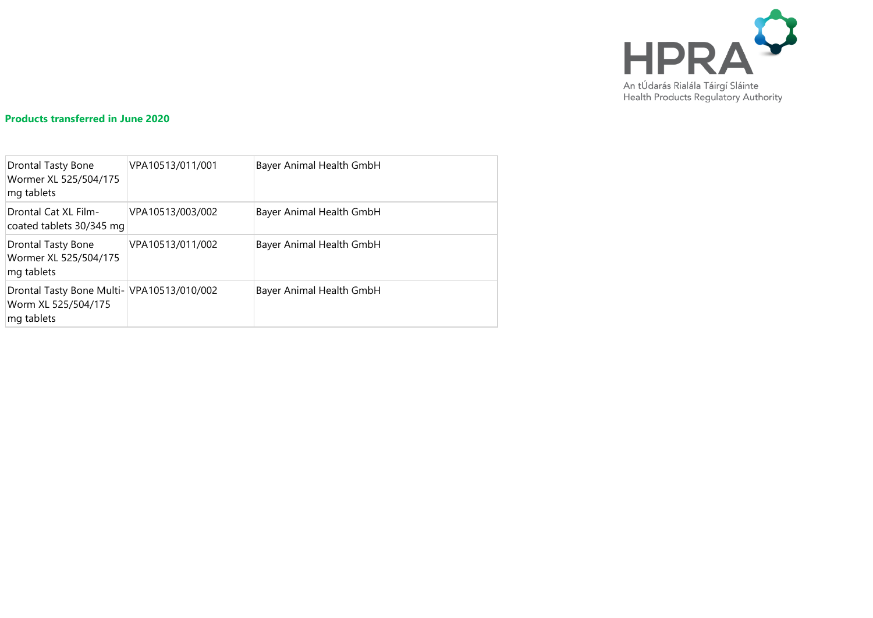

### **Products transferred in June 2020**

| Drontal Tasty Bone<br>Wormer XL 525/504/175<br>mg tablets                       | VPA10513/011/001 | Bayer Animal Health GmbH |
|---------------------------------------------------------------------------------|------------------|--------------------------|
| Drontal Cat XL Film-<br>coated tablets 30/345 mg                                | VPA10513/003/002 | Bayer Animal Health GmbH |
| Drontal Tasty Bone<br>Wormer XL 525/504/175<br>mg tablets                       | VPA10513/011/002 | Bayer Animal Health GmbH |
| Drontal Tasty Bone Multi- VPA10513/010/002<br>Worm XL 525/504/175<br>mg tablets |                  | Bayer Animal Health GmbH |